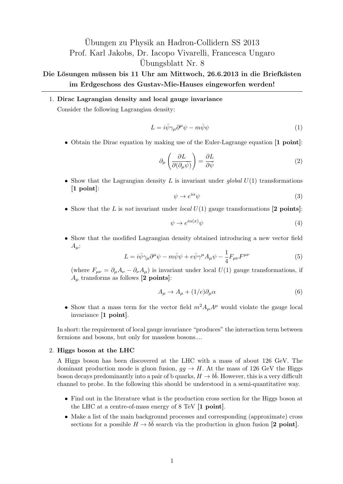## Ubungen zu Physik an Hadron-Collidern SS 2013 ¨ Prof. Karl Jakobs, Dr. Iacopo Vivarelli, Francesca Ungaro Ubungsblatt Nr. 8

## Die Lösungen müssen bis 11 Uhr am Mittwoch, 26.6.2013 in die Briefkästen **im Erdgeschoss des Gustav-Mie-Hauses eingeworfen werden!**

1. **Dirac Lagrangian density and local gauge invariance**

Consider the following Lagrangian density:

$$
L = i\bar{\psi}\gamma_{\mu}\partial^{\mu}\psi - m\bar{\psi}\psi\tag{1}
$$

*•* Obtain the Dirac equation by making use of the Euler-Lagrange equation **[1 point]**:

$$
\partial_{\mu} \left( \frac{\partial L}{\partial (\partial_{\mu} \bar{\psi})} \right) = \frac{\partial L}{\partial \bar{\psi}}
$$
\n(2)

*•* Show that the Lagrangian density *L* is invariant under *global U*(1) transformations **[1 point]**:

$$
\psi \to e^{i\alpha}\psi \tag{3}
$$

*•* Show that the *L* is *not* invariant under *local U*(1) gauge transformations **[2 points]**:

$$
\psi \to e^{i\alpha(x)}\psi \tag{4}
$$

• Show that the modified Lagrangian density obtained introducing a new vector field  $A_\mu$ :

$$
L = i\bar{\psi}\gamma_{\mu}\partial^{\mu}\psi - m\bar{\psi}\psi + e\bar{\psi}\gamma^{\mu}A_{\mu}\psi - \frac{1}{4}F_{\mu\nu}F^{\mu\nu}
$$
 (5)

(where  $F_{\mu\nu} = \partial_{\mu}A_{\nu} - \partial_{\nu}A_{\mu}$ ) is invariant under local  $U(1)$  gauge transformations, if  $A<sub>u</sub>$  transforms as follows **[2 points]**:

$$
A_{\mu} \to A_{\mu} + (1/e)\partial_{\mu}\alpha \tag{6}
$$

• Show that a mass term for the vector field  $m^2 A_\mu A^\mu$  would violate the gauge local invariance **[1 point]**.

In short: the requirement of local gauge invariance "produces" the interaction term between fermions and bosons, but only for massless bosons....

## 2. **Higgs boson at the LHC**

A Higgs boson has been discovered at the LHC with a mass of about 126 GeV. The dominant production mode is gluon fusion,  $gg \to H$ . At the mass of 126 GeV the Higgs boson decays predominantly into a pair of b quarks,  $H \to b\bar{b}$ . However, this is a very difficult channel to probe. In the following this should be understood in a semi-quantitative way.

- *•* Find out in the literature what is the production cross section for the Higgs boson at the LHC at a centre-of-mass energy of 8 TeV **[1 point]**.
- Make a list of the main background processes and corresponding (approximate) cross sections for a possible  $H \to b\bar{b}$  search via the production in gluon fusion **[2 point]**.